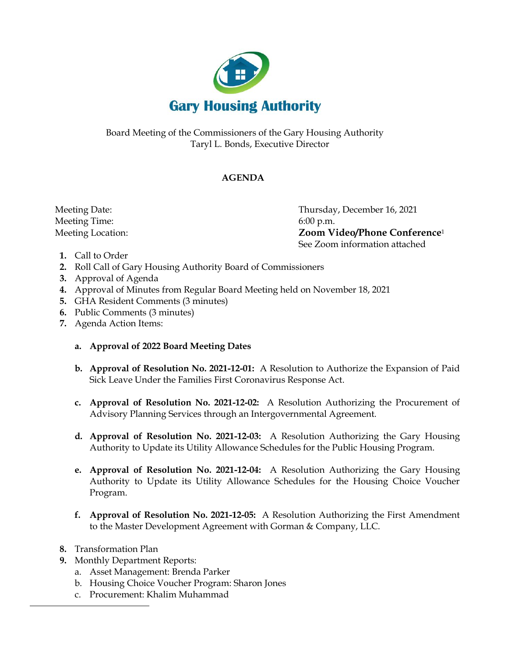

Board Meeting of the Commissioners of the Gary Housing Authority Taryl L. Bonds, Executive Director

## **AGENDA**

Meeting Time: 6:00 p.m.

 Meeting Date: Thursday, December 16, 2021 Meeting Location: **Zoom Video/Phone Conference**<sup>1</sup> See Zoom information attached

- **1.** Call to Order
- **2.** Roll Call of Gary Housing Authority Board of Commissioners
- **3.** Approval of Agenda
- **4.** Approval of Minutes from Regular Board Meeting held on November 18, 2021
- **5.** GHA Resident Comments (3 minutes)
- **6.** Public Comments (3 minutes)
- **7.** Agenda Action Items:

## **a. Approval of 2022 Board Meeting Dates**

- **b. Approval of Resolution No. 2021-12-01:** A Resolution to Authorize the Expansion of Paid Sick Leave Under the Families First Coronavirus Response Act.
- **c. Approval of Resolution No. 2021-12-02:** A Resolution Authorizing the Procurement of Advisory Planning Services through an Intergovernmental Agreement.
- **d. Approval of Resolution No. 2021-12-03:** A Resolution Authorizing the Gary Housing Authority to Update its Utility Allowance Schedules for the Public Housing Program.
- **e. Approval of Resolution No. 2021-12-04:** A Resolution Authorizing the Gary Housing Authority to Update its Utility Allowance Schedules for the Housing Choice Voucher Program.
- **f. Approval of Resolution No. 2021-12-05:** A Resolution Authorizing the First Amendment to the Master Development Agreement with Gorman & Company, LLC.
- **8.** Transformation Plan
- **9.** Monthly Department Reports:
	- a. Asset Management: Brenda Parker
	- b. Housing Choice Voucher Program: Sharon Jones
	- c. Procurement: Khalim Muhammad